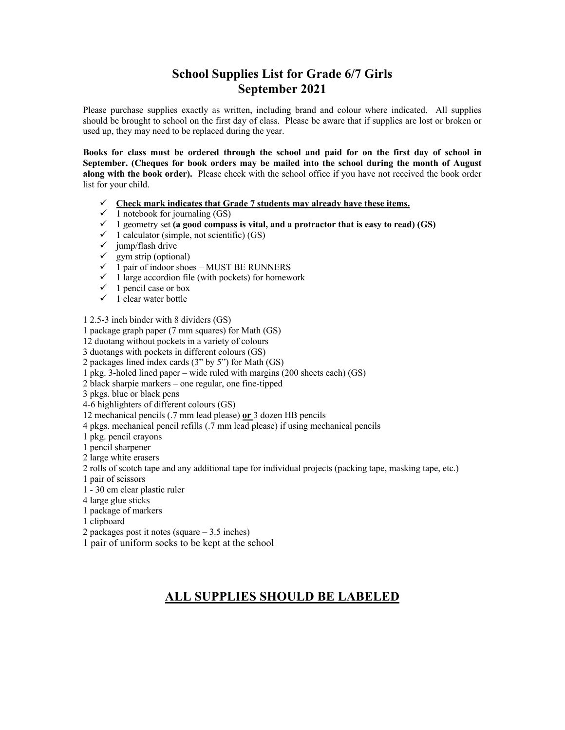## **School Supplies List for Grade 6/7 Girls September 2021**

Please purchase supplies exactly as written, including brand and colour where indicated. All supplies should be brought to school on the first day of class. Please be aware that if supplies are lost or broken or used up, they may need to be replaced during the year.

**Books for class must be ordered through the school and paid for on the first day of school in September. (Cheques for book orders may be mailed into the school during the month of August along with the book order).** Please check with the school office if you have not received the book order list for your child.

- $\checkmark$  Check mark indicates that Grade 7 students may already have these items.
- $\checkmark$  1 notebook for journaling (GS)
- $\checkmark$  1 geometry set (a good compass is vital, and a protractor that is easy to read) (GS)
- $\checkmark$  1 calculator (simple, not scientific) (GS)
- $\checkmark$  jump/flash drive
- $\checkmark$  gym strip (optional)
- $\checkmark$  1 pair of indoor shoes MUST BE RUNNERS
- $\checkmark$  1 large accordion file (with pockets) for homework
- $\checkmark$  1 pencil case or box
- $\checkmark$  1 clear water bottle

1 2.5-3 inch binder with 8 dividers (GS)

1 package graph paper (7 mm squares) for Math (GS)

12 duotang without pockets in a variety of colours

3 duotangs with pockets in different colours (GS)

2 packages lined index cards (3" by 5") for Math (GS)

1 pkg. 3-holed lined paper – wide ruled with margins (200 sheets each) (GS)

- 2 black sharpie markers one regular, one fine-tipped
- 3 pkgs. blue or black pens

4-6 highlighters of different colours (GS)

12 mechanical pencils (.7 mm lead please) **or** 3 dozen HB pencils

4 pkgs. mechanical pencil refills (.7 mm lead please) if using mechanical pencils

1 pkg. pencil crayons

1 pencil sharpener

2 large white erasers

2 rolls of scotch tape and any additional tape for individual projects (packing tape, masking tape, etc.)

1 pair of scissors

1 - 30 cm clear plastic ruler

4 large glue sticks

1 package of markers

1 clipboard

2 packages post it notes (square – 3.5 inches)

1 pair of uniform socks to be kept at the school

## **ALL SUPPLIES SHOULD BE LABELED**